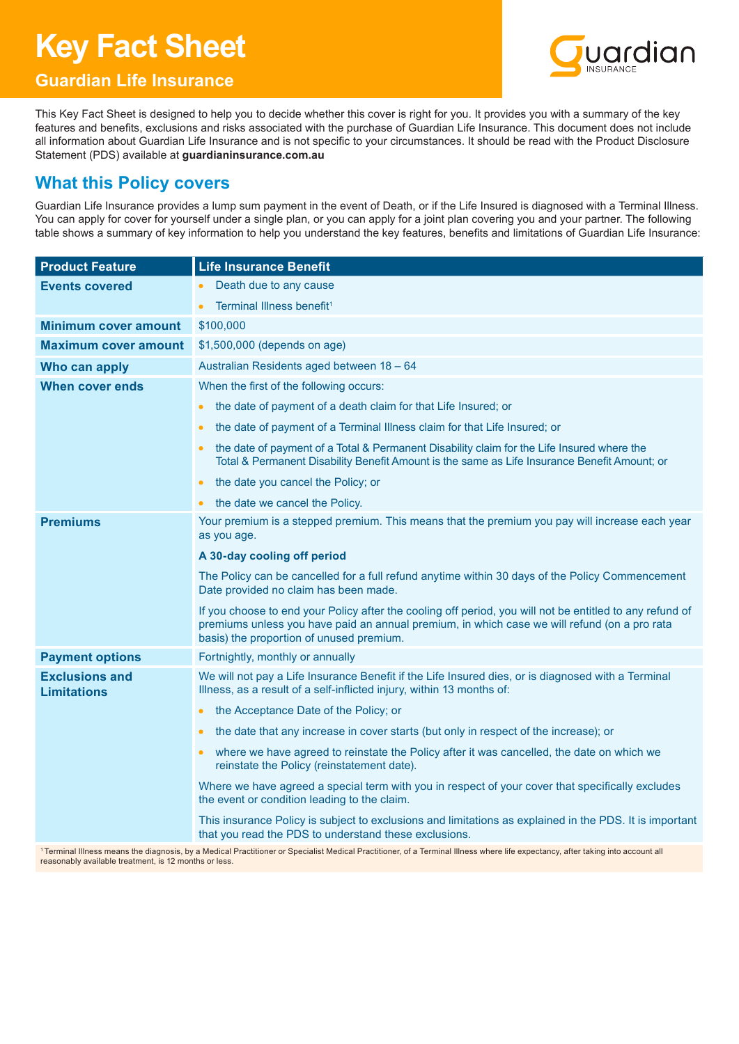# **Key Fact Sheet**



## **Guardian Life Insurance**

This Key Fact Sheet is designed to help you to decide whether this cover is right for you. It provides you with a summary of the key features and benefits, exclusions and risks associated with the purchase of Guardian Life Insurance. This document does not include all information about Guardian Life Insurance and is not specific to your circumstances. It should be read with the Product Disclosure Statement (PDS) available at **guardianinsurance.com.au**

## **What this Policy covers**

Guardian Life Insurance provides a lump sum payment in the event of Death, or if the Life Insured is diagnosed with a Terminal Illness. You can apply for cover for yourself under a single plan, or you can apply for a joint plan covering you and your partner. The following table shows a summary of key information to help you understand the key features, benefits and limitations of Guardian Life Insurance:

| <b>Product Feature</b>                      | <b>Life Insurance Benefit</b>                                                                                                                                                                                                                        |
|---------------------------------------------|------------------------------------------------------------------------------------------------------------------------------------------------------------------------------------------------------------------------------------------------------|
| <b>Events covered</b>                       | Death due to any cause                                                                                                                                                                                                                               |
|                                             | Terminal Illness benefit <sup>1</sup>                                                                                                                                                                                                                |
| Minimum cover amount                        | \$100,000                                                                                                                                                                                                                                            |
| <b>Maximum cover amount</b>                 | \$1,500,000 (depends on age)                                                                                                                                                                                                                         |
| Who can apply                               | Australian Residents aged between 18 - 64                                                                                                                                                                                                            |
| When cover ends                             | When the first of the following occurs:                                                                                                                                                                                                              |
|                                             | the date of payment of a death claim for that Life Insured; or<br>$\bullet$                                                                                                                                                                          |
|                                             | the date of payment of a Terminal Illness claim for that Life Insured; or<br>$\bullet$                                                                                                                                                               |
|                                             | the date of payment of a Total & Permanent Disability claim for the Life Insured where the<br>$\bullet$<br>Total & Permanent Disability Benefit Amount is the same as Life Insurance Benefit Amount; or                                              |
|                                             | the date you cancel the Policy; or<br>$\bullet$                                                                                                                                                                                                      |
|                                             | the date we cancel the Policy.<br>$\bullet$                                                                                                                                                                                                          |
| <b>Premiums</b>                             | Your premium is a stepped premium. This means that the premium you pay will increase each year<br>as you age.                                                                                                                                        |
|                                             | A 30-day cooling off period                                                                                                                                                                                                                          |
|                                             | The Policy can be cancelled for a full refund anytime within 30 days of the Policy Commencement<br>Date provided no claim has been made.                                                                                                             |
|                                             | If you choose to end your Policy after the cooling off period, you will not be entitled to any refund of<br>premiums unless you have paid an annual premium, in which case we will refund (on a pro rata<br>basis) the proportion of unused premium. |
| <b>Payment options</b>                      | Fortnightly, monthly or annually                                                                                                                                                                                                                     |
| <b>Exclusions and</b><br><b>Limitations</b> | We will not pay a Life Insurance Benefit if the Life Insured dies, or is diagnosed with a Terminal<br>Illness, as a result of a self-inflicted injury, within 13 months of:                                                                          |
|                                             | the Acceptance Date of the Policy; or<br>$\bullet$                                                                                                                                                                                                   |
|                                             | the date that any increase in cover starts (but only in respect of the increase); or<br>$\bullet$                                                                                                                                                    |
|                                             | where we have agreed to reinstate the Policy after it was cancelled, the date on which we<br>$\bullet$<br>reinstate the Policy (reinstatement date).                                                                                                 |
|                                             | Where we have agreed a special term with you in respect of your cover that specifically excludes<br>the event or condition leading to the claim.                                                                                                     |
|                                             | This insurance Policy is subject to exclusions and limitations as explained in the PDS. It is important<br>that you read the PDS to understand these exclusions.                                                                                     |

<sup>1</sup> Terminal Illness means the diagnosis, by a Medical Practitioner or Specialist Medical Practitioner, of a Terminal Illness where life expectancy, after taking into account all reasonably available treatment, is 12 months or less.